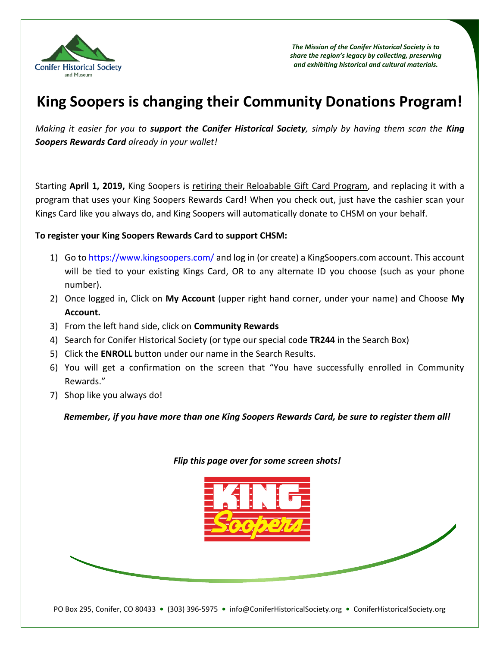

*The Mission of the Conifer Historical Society is to share the region's legacy by collecting, preserving and exhibiting historical and cultural materials.*

# **King Soopers is changing their Community Donations Program!**

*Making it easier for you to support the Conifer Historical Society, simply by having them scan the King Soopers Rewards Card already in your wallet!*

Starting **April 1, 2019,** King Soopers is retiring their Reloabable Gift Card Program, and replacing it with a program that uses your King Soopers Rewards Card! When you check out, just have the cashier scan your Kings Card like you always do, and King Soopers will automatically donate to CHSM on your behalf.

# **To register your King Soopers Rewards Card to support CHSM:**

- 1) Go t[o https://www.kingsoopers.com/](https://www.kingsoopers.com/) and log in (or create) a KingSoopers.com account. This account will be tied to your existing Kings Card, OR to any alternate ID you choose (such as your phone number).
- 2) Once logged in, Click on **My Account** (upper right hand corner, under your name) and Choose **My Account.**
- 3) From the left hand side, click on **Community Rewards**
- 4) Search for Conifer Historical Society (or type our special code **TR244** in the Search Box)
- 5) Click the **ENROLL** button under our name in the Search Results.
- 6) You will get a confirmation on the screen that "You have successfully enrolled in Community Rewards."
- 7) Shop like you always do!

*Remember, if you have more than one King Soopers Rewards Card, be sure to register them all!*

# *Flip this page over for some screen shots!*



PO Box 295, Conifer, CO 80433 **•** (303) 396-5975 **•** info@ConiferHistoricalSociety.org **•** ConiferHistoricalSociety.org